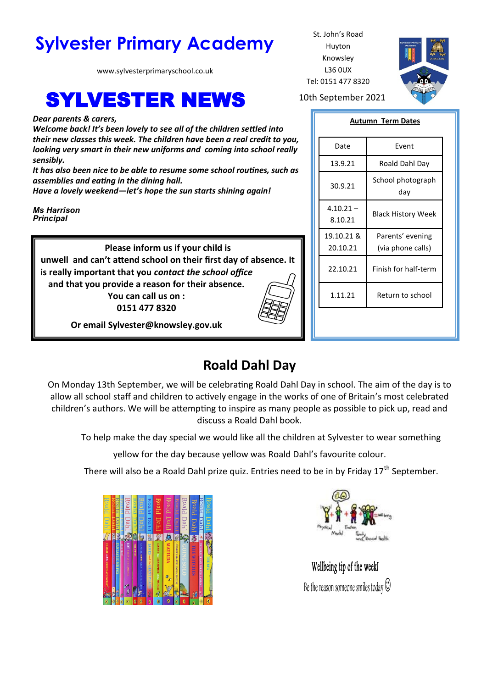# Sylvester Primary Academy St. John's Road

www.sylvesterprimaryschool.co.uk

# **SYLVESTER NEWS** 10th September 2021

*Dear parents & carers,*

*Welcome back! It's been lovely to see all of the children settled into their new classes this week. The children have been a real credit to you, looking very smart in their new uniforms and coming into school really sensibly.* 

*It has also been nice to be able to resume some school routines, such as assemblies and eating in the dining hall.* 

*Have a lovely weekend—let's hope the sun starts shining again!*

*Ms Harrison Principal*

> **Please inform us if your child is unwell and can't attend school on their first day of absence. It is really important that you** *contact the school office*  **and that you provide a reason for their absence.**

**You can call us on : 0151 477 8320**



**Or email Sylvester@knowsley.gov.uk**

# **Roald Dahl Day**

On Monday 13th September, we will be celebrating Roald Dahl Day in school. The aim of the day is to allow all school staff and children to actively engage in the works of one of Britain's most celebrated children's authors. We will be attempting to inspire as many people as possible to pick up, read and discuss a Roald Dahl book.

To help make the day special we would like all the children at Sylvester to wear something

yellow for the day because yellow was Roald Dahl's favourite colour.

There will also be a Roald Dahl prize quiz. Entries need to be in by Friday  $17<sup>th</sup>$  September.





Wellbeing tip of the week! Be the reason someone smiles today  $\odot$ 



Huyton Knowsley L36 0UX Tel: 0151 477 8320

### **Autumn Term Dates**

| Fvent                                 |
|---------------------------------------|
| Roald Dahl Day                        |
| School photograph<br>day              |
| <b>Black History Week</b>             |
| Parents' evening<br>(via phone calls) |
| Finish for half-term                  |
| Return to school                      |
|                                       |
|                                       |